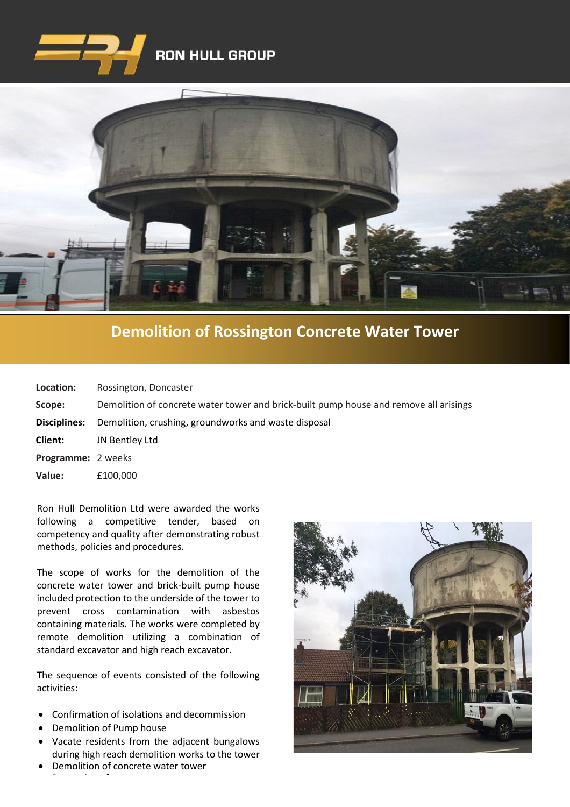



## **[Demolition of Rossington Concrete Water Tower](https://www.google.co.uk/imgres?imgurl=http%3A%2F%2Fwww.clenergy.co.uk%2FImageGen.ashx%3Fimage%3D%2Fmedia%2F1044%2Fcredit-solutia-2009-looking-south-4mb.jpg%26width%3D568%26height%3D320&imgrefurl=http%3A%2F%2Fwww.clenergy.co.uk%2Fprojects%2Fsolutia%2F&docid=l4QIaOP_OnRHZM&tbnid=A2rf481aMiEi8M%3A&vet=10ahUKEwie4JWq6srkAhX6SxUIHaTaDYwQMwg_KAEwAQ..i&w=568&h=320&bih=575&biw=1280&q=eastman%20chemical%20plant%20newport%20wales&ved=0ahUKEwie4JWq6srkAhX6SxUIHaTaDYwQMwg_KAEwAQ&iact=mrc&uact=8)**

| Location:           | Rossington, Doncaster                                                                 |
|---------------------|---------------------------------------------------------------------------------------|
| Scope:              | Demolition of concrete water tower and brick-built pump house and remove all arisings |
| <b>Disciplines:</b> | Demolition, crushing, groundworks and waste disposal                                  |
| <b>Client:</b>      | JN Bentley Ltd                                                                        |
| Programme: 2 weeks  |                                                                                       |
| Value:              | £100,000                                                                              |

Ron Hull Demolition Ltd were awarded the works following a competitive tender, based on competency and quality after demonstrating robust methods, policies and procedures.

The scope of works for the demolition of the concrete water tower and brick-built pump house included protection to the underside of the tower to prevent cross contamination with asbestos containing materials. The works were completed by remote demolition utilizing a combination of standard excavator and high reach excavator.

The sequence of events consisted of the following activities:

- Confirmation of isolations and decommission
- Demolition of Pump house

• Processing of concrete.

- Vacate residents from the adjacent bungalows during high reach demolition works to the tower
- Demolition of concrete water tower